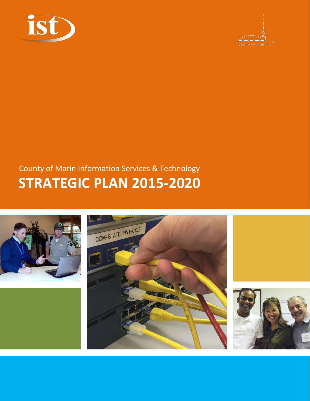



## County of Marin Information Services & Technology **STRATEGIC PLAN 2015-2020**





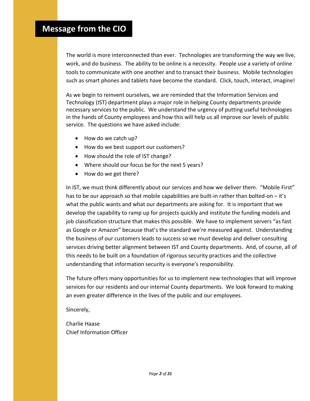### **Message from the CIO**

The world is more interconnected than ever. Technologies are transforming the way we live, work, and do business. The ability to be online is a necessity. People use a variety of online tools to communicate with one another and to transact their business. Mobile technologies such as smart phones and tablets have become the standard. Click, touch, interact, imagine!

As we begin to reinvent ourselves, we are reminded that the Information Services and Technology (IST) department plays a major role in helping County departments provide necessary services to the public. We understand the urgency of putting useful technologies in the hands of County employees and how this will help us all improve our levels of public service. The questions we have asked include:

- How do we catch up?
- How do we best support our customers?
- How should the role of IST change?
- Where should our focus be for the next 5 years?
- How do we get there?

In IST, we must think differently about our services and how we deliver them. "Mobile First" has to be our approach so that mobile capabilities are built-in rather than bolted-on – it's what the public wants and what our departments are asking for. It is important that we develop the capability to ramp up for projects quickly and institute the funding models and job classification structure that makes this possible. We have to implement servers "as fast as Google or Amazon" because that's the standard we're measured against. Understanding the business of our customers leads to success so we must develop and deliver consulting services driving better alignment between IST and County departments. And, of course, all of this needs to be built on a foundation of rigorous security practices and the collective understanding that information security is everyone's responsibility.

The future offers many opportunities for us to implement new technologies that will improve services for our residents and our internal County departments. We look forward to making an even greater difference in the lives of the public and our employees.

Sincerely,

Charlie Haase Chief Information Officer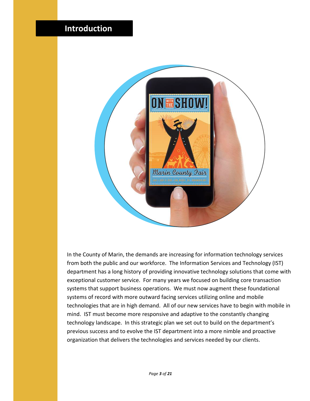### **Introduction**



In the County of Marin, the demands are increasing for information technology services from both the public and our workforce. The Information Services and Technology (IST) department has a long history of providing innovative technology solutions that come with exceptional customer service. For many years we focused on building core transaction systems that support business operations. We must now augment these foundational systems of record with more outward facing services utilizing online and mobile technologies that are in high demand. All of our new services have to begin with mobile in mind. IST must become more responsive and adaptive to the constantly changing technology landscape. In this strategic plan we set out to build on the department's previous success and to evolve the IST department into a more nimble and proactive organization that delivers the technologies and services needed by our clients.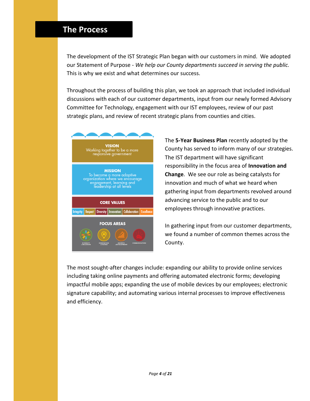### **The Process**

The development of the IST Strategic Plan began with our customers in mind. We adopted our Statement of Purpose - *We help our County departments succeed in serving the public.* This is why we exist and what determines our success.

Throughout the process of building this plan, we took an approach that included individual discussions with each of our customer departments, input from our newly formed Advisory Committee for Technology, engagement with our IST employees, review of our past strategic plans, and review of recent strategic plans from counties and cities.



The **5-Year Business Plan** recently adopted by the County has served to inform many of our strategies. The IST department will have significant responsibility in the focus area of **Innovation and Change**. We see our role as being catalysts for innovation and much of what we heard when gathering input from departments revolved around advancing service to the public and to our employees through innovative practices.

In gathering input from our customer departments, we found a number of common themes across the County.

The most sought-after changes include: expanding our ability to provide online services including taking online payments and offering automated electronic forms; developing impactful mobile apps; expanding the use of mobile devices by our employees; electronic signature capability; and automating various internal processes to improve effectiveness and efficiency.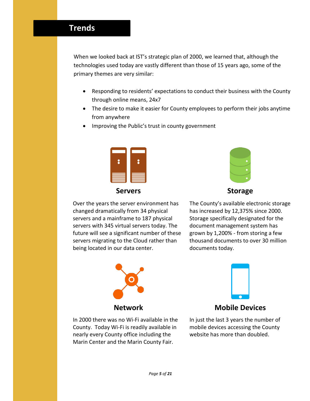### **Trends**

When we looked back at IST's strategic plan of 2000, we learned that, although the technologies used today are vastly different than those of 15 years ago, some of the primary themes are very similar:

- Responding to residents' expectations to conduct their business with the County through online means, 24x7
- The desire to make it easier for County employees to perform their jobs anytime from anywhere
- Improving the Public's trust in county government



Over the years the server environment has changed dramatically from 34 physical servers and a mainframe to 187 physical servers with 345 virtual servers today. The future will see a significant number of these servers migrating to the Cloud rather than being located in our data center.



### **Servers Storage**

The County's available electronic storage has increased by 12,375% since 2000. Storage specifically designated for the document management system has grown by 1,200% - from storing a few thousand documents to over 30 million documents today.





### **Network Mobile Devices**

In 2000 there was no Wi-Fi available in the County. Today Wi-Fi is readily available in nearly every County office including the Marin Center and the Marin County Fair.

In just the last 3 years the number of mobile devices accessing the County website has more than doubled.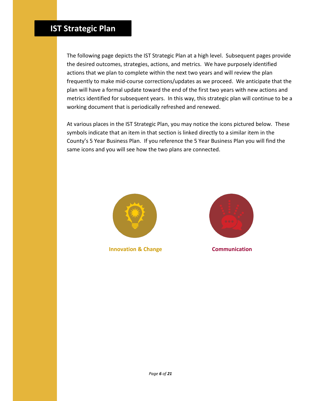### **IST Strategic Plan**

The following page depicts the IST Strategic Plan at a high level. Subsequent pages provide the desired outcomes, strategies, actions, and metrics. We have purposely identified actions that we plan to complete within the next two years and will review the plan frequently to make mid-course corrections/updates as we proceed. We anticipate that the plan will have a formal update toward the end of the first two years with new actions and metrics identified for subsequent years. In this way, this strategic plan will continue to be a working document that is periodically refreshed and renewed.

At various places in the IST Strategic Plan, you may notice the icons pictured below. These symbols indicate that an item in that section is linked directly to a similar item in the County's 5 Year Business Plan. If you reference the 5 Year Business Plan you will find the same icons and you will see how the two plans are connected.



**Innovation & Change Communication** 

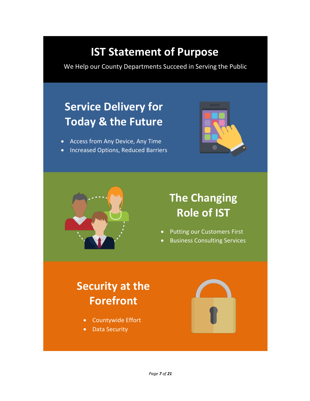## **IST Statement of Purpose**

We Help our County Departments Succeed in Serving the Public

## **Service Delivery for Today & the Future**

- Access from Any Device, Any Time
- Increased Options, Reduced Barriers





## **The Changing Role of IST**

- Putting our Customers First
- Business Consulting Services

## **Security at the Forefront**

- Countywide Effort
- Data Security

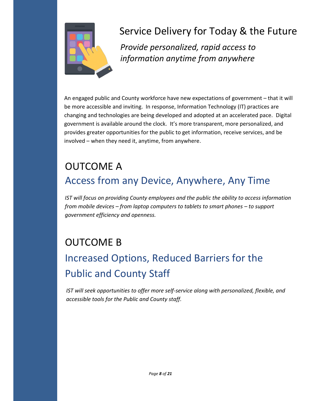

## Service Delivery for Today & the Future

*Provide personalized, rapid access to information anytime from anywhere*

An engaged public and County workforce have new expectations of government – that it will be more accessible and inviting. In response, Information Technology (IT) practices are changing and technologies are being developed and adopted at an accelerated pace. Digital government is available around the clock. It's more transparent, more personalized, and provides greater opportunities for the public to get information, receive services, and be involved – when they need it, anytime, from anywhere.

## OUTCOME A Access from any Device, Anywhere, Any Time

*IST will focus on providing County employees and the public the ability to access information from mobile devices – from laptop computers to tablets to smart phones – to support government efficiency and openness.*

### OUTCOME B

## Increased Options, Reduced Barriers for the Public and County Staff

*IST will seek opportunities to offer more self-service along with personalized, flexible, and accessible tools for the Public and County staff.*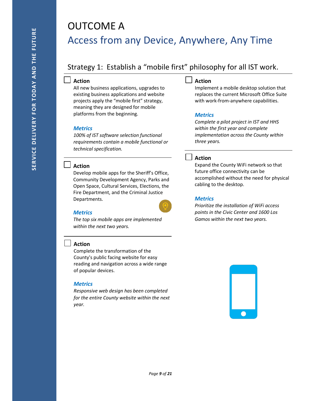## OUTCOME A Access from any Device, Anywhere, Any Time

### Strategy 1: Establish a "mobile first" philosophy for all IST work.

#### **Action**

All new business applications, upgrades to existing business applications and website projects apply the "mobile first" strategy, meaning they are designed for mobile platforms from the beginning.

#### *Metrics*

*100% of IST software selection functional requirements contain a mobile functional or technical specification.*

#### **Action**

Develop mobile apps for the Sheriff's Office, Community Development Agency, Parks and Open Space, Cultural Services, Elections, the Fire Department, and the Criminal Justice Departments.

#### *Metrics*

*The top six mobile apps are implemented within the next two years.*

#### **Action**

Complete the transformation of the County's public facing website for easy reading and navigation across a wide range of popular devices.

#### *Metrics*

*Responsive web design has been completed for the entire County website within the next year.*

#### **Action**

Implement a mobile desktop solution that replaces the current Microsoft Office Suite with work-from-anywhere capabilities.

#### *Metrics*

*Complete a pilot project in IST and HHS within the first year and complete implementation across the County within three years.*

#### **Action**

Expand the County WiFi network so that future office connectivity can be accomplished without the need for physical cabling to the desktop.

#### *Metrics*

*Prioritize the installation of WiFi access points in the Civic Center and 1600 Los Gamos within the next two years.*

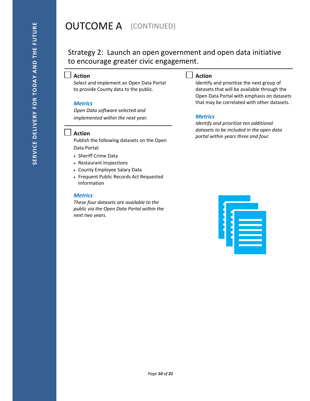### **OUTCOME A** (CONTINUED)

### Strategy 2: Launch an open government and open data initiative to encourage greater civic engagement.

#### **Action**

Select and implement an Open Data Portal to provide County data to the public.

#### *Metrics*

*Open Data software selected and implemented within the next year.*

#### **Action**

Publish the following datasets on the Open Data Portal:

- Sheriff Crime Data
- Restaurant Inspections
- County Employee Salary Data
- Frequent Public Records Act Requested Information

#### *Metrics*

*These four datasets are available to the public via the Open Data Portal within the next two years.*

#### **Action**

Identify and prioritize the next group of datasets that will be available through the Open Data Portal with emphasis on datasets that may be correlated with other datasets.

#### *Metrics*

*Identify and prioritize ten additional datasets to be included in the open data portal within years three and four.*

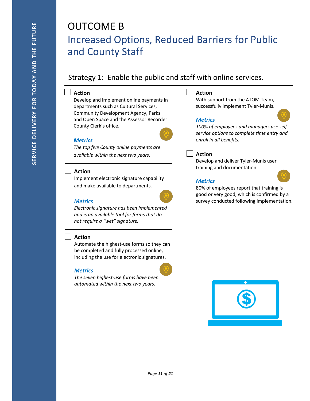### OUTCOME B Increased Options, Reduced Barriers for Public and County Staff

### Strategy 1: Enable the public and staff with online services.

#### **Action**

Develop and implement online payments in departments such as Cultural Services, Community Development Agency, Parks and Open Space and the Assessor Recorder County Clerk's office.



#### *Metrics*

*The top five County online payments are available within the next two years.*

#### **Action**

Implement electronic signature capability and make available to departments.

#### *Metrics*

*Electronic signature has been implemented and is an available tool for forms that do not require a "wet" signature.*

#### **Action**

Automate the highest-use forms so they can be completed and fully processed online, including the use for electronic signatures.

#### *Metrics*

*The seven highest-use forms have been automated within the next two years.*

#### **Action**

With support from the ATOM Team, successfully implement Tyler-Munis.

#### *Metrics*

*100% of employees and managers use selfservice options to complete time entry and enroll in all benefits.*

#### **Action**

Develop and deliver Tyler-Munis user training and documentation.

#### *Metrics*

80% of employees report that training is good or very good, which is confirmed by a survey conducted following implementation.

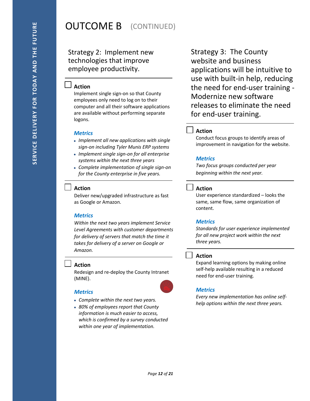### **OUTCOME B** (CONTINUED)

### Strategy 2: Implement new technologies that improve employee productivity.

#### **Action**

Implement single sign-on so that County employees only need to log on to their computer and all their software applications are available without performing separate logons.

#### *Metrics*

- *Implement all new applications with single sign-on including Tyler Munis ERP systems*
- *Implement single sign-on for all enterprise systems within the next three years*
- *Complete implementation of single sign-on for the County enterprise in five years.*

#### **Action**

Deliver new/upgraded infrastructure as fast as Google or Amazon.

#### *Metrics*

*Within the next two years implement Service Level Agreements with customer departments for delivery of servers that match the time it takes for delivery of a server on Google or Amazon.*

#### **Action**

Redesign and re-deploy the County Intranet (MINE).

#### *Metrics*

- *Complete within the next two years.*
- *80% of employees report that County information is much easier to access, which is confirmed by a survey conducted within one year of implementation.*

Strategy 3: The County website and business applications will be intuitive to use with built-in help, reducing the need for end-user training - Modernize new software releases to eliminate the need for end-user training.

#### **Action**

Conduct focus groups to identify areas of improvement in navigation for the website.

#### *Metrics*

*Two focus groups conducted per year beginning within the next year.*

#### **Action**

User experience standardized – looks the same, same flow, same organization of content.

#### *Metrics*

*Standards for user experience implemented for all new project work within the next three years.*

#### **Action**

Expand learning options by making online self-help available resulting in a reduced need for end-user training.

#### *Metrics*

*Every new implementation has online selfhelp options within the next three years.*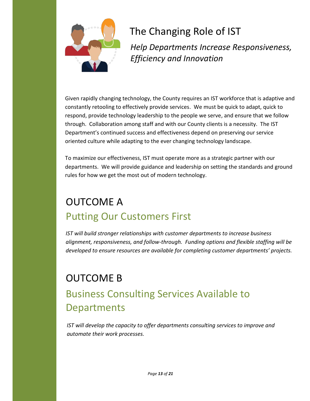

### The Changing Role of IST

*Help Departments Increase Responsiveness, Efficiency and Innovation*

Given rapidly changing technology, the County requires an IST workforce that is adaptive and constantly retooling to effectively provide services. We must be quick to adapt, quick to respond, provide technology leadership to the people we serve, and ensure that we follow through. Collaboration among staff and with our County clients is a necessity. The IST Department's continued success and effectiveness depend on preserving our service oriented culture while adapting to the ever changing technology landscape.

To maximize our effectiveness, IST must operate more as a strategic partner with our departments. We will provide guidance and leadership on setting the standards and ground rules for how we get the most out of modern technology.

## OUTCOME A Putting Our Customers First

*IST will build stronger relationships with customer departments to increase business alignment, responsiveness, and follow-through. Funding options and flexible staffing will be developed to ensure resources are available for completing customer departments' projects.*

## OUTCOME B Business Consulting Services Available to Departments

*IST will develop the capacity to offer departments consulting services to improve and automate their work processes.*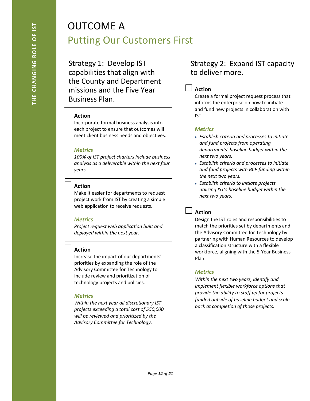## OUTCOME A Putting Our Customers First

Strategy 1: Develop IST capabilities that align with the County and Department missions and the Five Year Business Plan.

### **Action**

Incorporate formal business analysis into each project to ensure that outcomes will meet client business needs and objectives.

#### *Metrics*

*100% of IST project charters include business analysis as a deliverable within the next four years.*

#### **Action**

Make it easier for departments to request project work from IST by creating a simple web application to receive requests.

#### *Metrics*

*Project request web application built and deployed within the next year.*

#### **Action**

Increase the impact of our departments' priorities by expanding the role of the Advisory Committee for Technology to include review and prioritization of technology projects and policies.

#### *Metrics*

*Within the next year all discretionary IST projects exceeding a total cost of \$50,000 will be reviewed and prioritized by the Advisory Committee for Technology.*

### Strategy 2: Expand IST capacity to deliver more.

#### **Action**

Create a formal project request process that informs the enterprise on how to initiate and fund new projects in collaboration with IST.

#### *Metrics*

- *Establish criteria and processes to initiate and fund projects from operating departments' baseline budget within the next two years.*
- *Establish criteria and processes to initiate and fund projects with BCP funding within the next two years.*
- *Establish criteria to initiate projects utilizing IST's baseline budget within the next two years.*

#### **Action**

Design the IST roles and responsibilities to match the priorities set by departments and the Advisory Committee for Technology by partnering with Human Resources to develop a classification structure with a flexible workforce, aligning with the 5-Year Business Plan.

#### *Metrics*

*Within the next two years, identify and implement flexible workforce options that provide the ability to staff up for projects funded outside of baseline budget and scale back at completion of those projects.*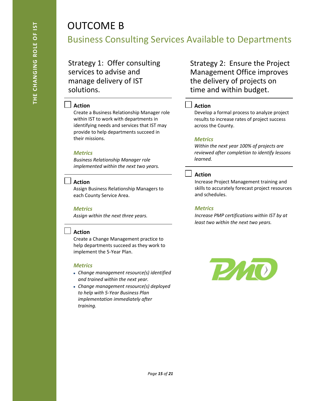### OUTCOME B

Business Consulting Services Available to Departments

Strategy 1: Offer consulting services to advise and manage delivery of IST solutions.

#### **Action**

Create a Business Relationship Manager role within IST to work with departments in identifying needs and services that IST may provide to help departments succeed in their missions.

#### *Metrics*

*Business Relationship Manager role implemented within the next two years.*

#### **Action**

Assign Business Relationship Managers to each County Service Area.

#### *Metrics*

*Assign within the next three years.*

#### **Action**

Create a Change Management practice to help departments succeed as they work to implement the 5-Year Plan.

#### *Metrics*

- *Change management resource(s) identified and trained within the next year.*
- *Change management resource(s) deployed to help with 5-Year Business Plan implementation immediately after training.*

Strategy 2: Ensure the Project Management Office improves the delivery of projects on time and within budget.

#### **Action**

Develop a formal process to analyze project results to increase rates of project success across the County.

#### *Metrics*

*Within the next year 100% of projects are reviewed after completion to identify lessons learned.*

#### **Action**

Increase Project Management training and skills to accurately forecast project resources and schedules.

#### *Metrics*

*Increase PMP certifications within IST by at least two within the next two years.*

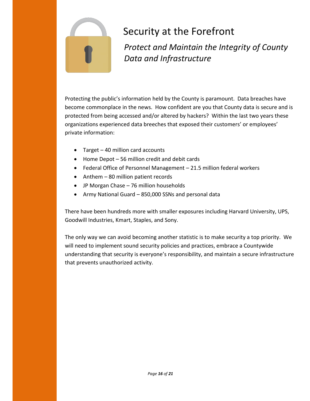

## Security at the Forefront

*Protect and Maintain the Integrity of County Data and Infrastructure*

Protecting the public's information held by the County is paramount. Data breaches have become commonplace in the news. How confident are you that County data is secure and is protected from being accessed and/or altered by hackers? Within the last two years these organizations experienced data breeches that exposed their customers' or employees' private information:

- Target 40 million card accounts
- Home Depot 56 million credit and debit cards
- Federal Office of Personnel Management 21.5 million federal workers
- Anthem 80 million patient records
- JP Morgan Chase 76 million households
- Army National Guard 850,000 SSNs and personal data

There have been hundreds more with smaller exposures including Harvard University, UPS, Goodwill Industries, Kmart, Staples, and Sony.

The only way we can avoid becoming another statistic is to make security a top priority. We will need to implement sound security policies and practices, embrace a Countywide understanding that security is everyone's responsibility, and maintain a secure infrastructure that prevents unauthorized activity.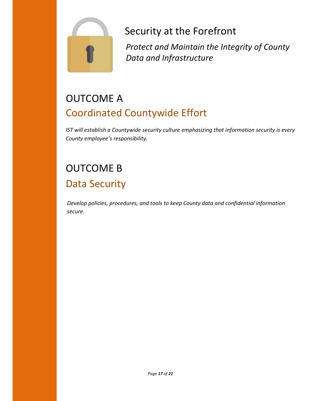

Security at the Forefront

*Protect and Maintain the Integrity of County Data and Infrastructure*

## OUTCOME A Coordinated Countywide Effort

*IST will establish a Countywide security culture emphasizing that information security is every County employee's responsibility.*

## OUTCOME B Data Security

*Develop policies, procedures, and tools to keep County data and confidential information secure.*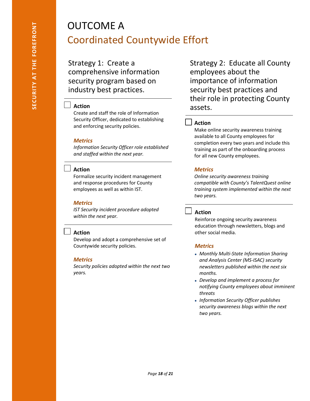## OUTCOME A Coordinated Countywide Effort

Strategy 1: Create a comprehensive information security program based on industry best practices.

#### **Action**

Create and staff the role of Information Security Officer, dedicated to establishing and enforcing security policies.

#### *Metrics*

*Information Security Officer role established and staffed within the next year.*

#### **Action**

Formalize security incident management and response procedures for County employees as well as within IST.

#### *Metrics*

*IST Security incident procedure adopted within the next year.*

#### **Action**

Develop and adopt a comprehensive set of Countywide security policies.

#### *Metrics*

*Security policies adopted within the next two years.*

Strategy 2: Educate all County employees about the importance of information security best practices and their role in protecting County assets.

#### **Action**

Make online security awareness training available to all County employees for completion every two years and include this training as part of the onboarding process for all new County employees.

#### *Metrics*

*Online security awareness training compatible with County's TalentQuest online training system implemented within the next two years.*

#### **Action**

Reinforce ongoing security awareness education through newsletters, blogs and other social media.

#### *Metrics*

- *Monthly Multi-State Information Sharing and Analysis Center (MS-ISAC) security newsletters published within the next six months.*
- *Develop and implement a process for notifying County employees about imminent threats*
- *Information Security Officer publishes security awareness blogs within the next two years.*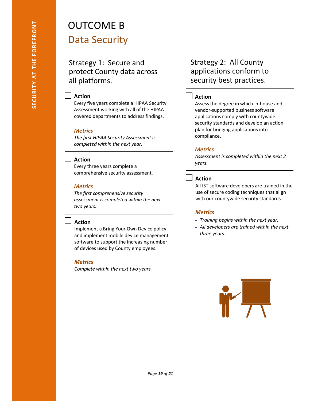# OUTCOME B

### Data Security

Strategy 1: Secure and protect County data across all platforms.

#### **Action**

Every five years complete a HIPAA Security Assessment working with all of the HIPAA covered departments to address findings.

#### *Metrics*

*The first HIPAA Security Assessment is completed within the next year.*

#### **Action**

Every three years complete a comprehensive security assessment.

#### *Metrics*

*The first comprehensive security assessment is completed within the next two years.*

#### **Action**

Implement a Bring Your Own Device policy and implement mobile device management software to support the increasing number of devices used by County employees.

#### *Metrics*

*Complete within the next two years.*

### Strategy 2: All County applications conform to security best practices.

#### **Action**

Assess the degree in which in-house and vendor-supported business software applications comply with countywide security standards and develop an action plan for bringing applications into compliance.

#### *Metrics*

*Assessment is completed within the next 2 years.*

#### **Action**

All IST software developers are trained in the use of secure coding techniques that align with our countywide security standards.

#### *Metrics*

- *Training begins within the next year.*
- *All developers are trained within the next three years.*

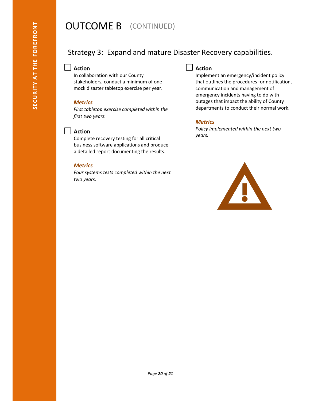### **OUTCOME B** (CONTINUED)

### Strategy 3: Expand and mature Disaster Recovery capabilities.

#### **Action**

In collaboration with our County stakeholders, conduct a minimum of one mock disaster tabletop exercise per year.

#### *Metrics*

*First tabletop exercise completed within the first two years.*

#### $\blacksquare$ **Action**

Complete recovery testing for all critical business software applications and produce a detailed report documenting the results.

#### *Metrics*

*Four systems tests completed within the next two years.*

#### **Action**

Implement an emergency/incident policy that outlines the procedures for notification, communication and management of emergency incidents having to do with outages that impact the ability of County departments to conduct their normal work.

#### *Metrics*

*Policy implemented within the next two years.*